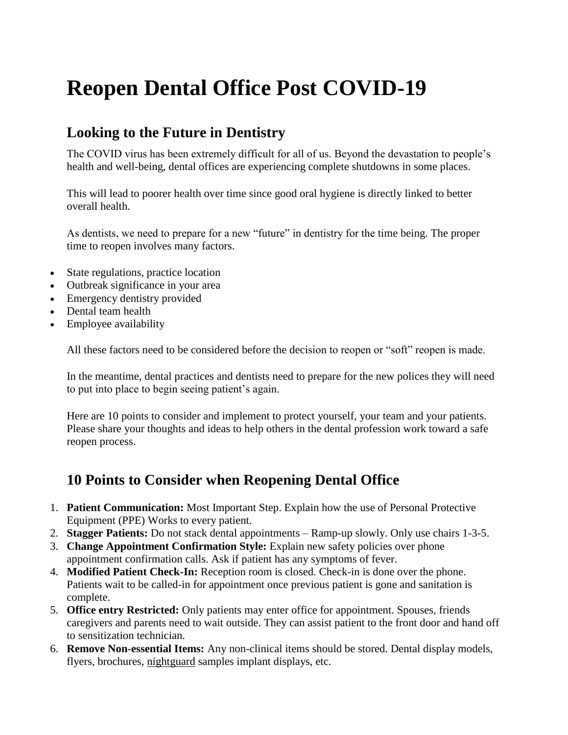# **Reopen Dental Office Post COVID-19**

# **Looking to the Future in Dentistry**

The COVID virus has been extremely difficult for all of us. Beyond the devastation to people's health and well-being, dental offices are experiencing complete shutdowns in some places.

This will lead to poorer health over time since good oral hygiene is directly linked to better overall health.

As dentists, we need to prepare for a new "future" in dentistry for the time being. The proper time to reopen involves many factors.

- State regulations, practice location
- Outbreak significance in your area
- Emergency dentistry provided
- Dental team health
- Employee availability

All these factors need to be considered before the decision to reopen or "soft" reopen is made.

In the meantime, dental practices and dentists need to prepare for the new polices they will need to put into place to begin seeing patient's again.

Here are 10 points to consider and implement to protect yourself, your team and your patients. Please share your thoughts and ideas to help others in the dental profession work toward a safe reopen process.

### **10 Points to Consider when Reopening Dental Office**

- 1. **Patient Communication:** Most Important Step. Explain how the use of Personal Protective Equipment (PPE) Works to every patient.
- 2. **Stagger Patients:** Do not stack dental appointments Ramp-up slowly. Only use chairs 1-3-5.
- 3. **Change Appointment Confirmation Style:** Explain new safety policies over phone appointment confirmation calls. Ask if patient has any symptoms of fever.
- 4. **Modified Patient Check-In:** Reception room is closed. Check-in is done over the phone. Patients wait to be called-in for appointment once previous patient is gone and sanitation is complete.
- 5. **Office entry Restricted:** Only patients may enter office for appointment. Spouses, friends caregivers and parents need to wait outside. They can assist patient to the front door and hand off to sensitization technician.
- 6. **Remove Non-essential Items:** Any non-clinical items should be stored. Dental display models, flyers, brochures, [nightguard](https://www.smileperfected.com/impact-night-guards/) samples implant displays, etc.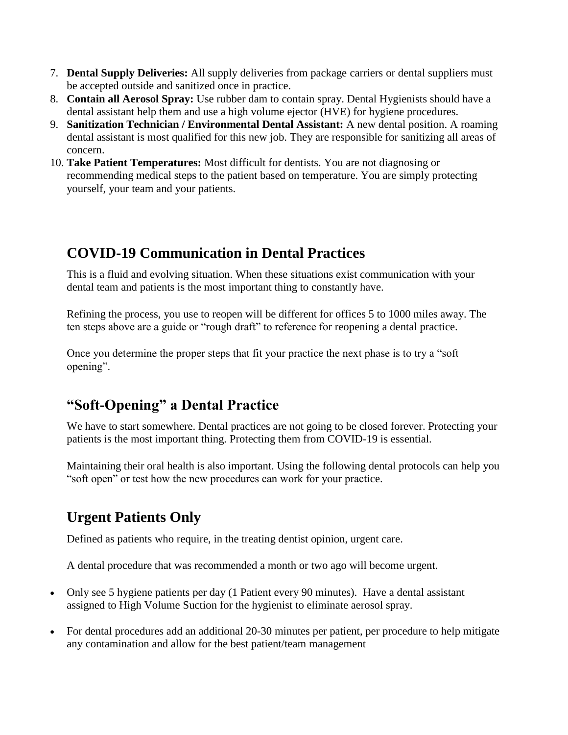- 7. **Dental Supply Deliveries:** All supply deliveries from package carriers or dental suppliers must be accepted outside and sanitized once in practice.
- 8. **Contain all Aerosol Spray:** Use rubber dam to contain spray. Dental Hygienists should have a dental assistant help them and use a high volume ejector (HVE) for hygiene procedures.
- 9. **Sanitization Technician / Environmental Dental Assistant:** A new dental position. A roaming dental assistant is most qualified for this new job. They are responsible for sanitizing all areas of concern.
- 10. **Take Patient Temperatures:** Most difficult for dentists. You are not diagnosing or recommending medical steps to the patient based on temperature. You are simply protecting yourself, your team and your patients.

## **COVID-19 Communication in Dental Practices**

This is a fluid and evolving situation. When these situations exist communication with your dental team and patients is the most important thing to constantly have.

Refining the process, you use to reopen will be different for offices 5 to 1000 miles away. The ten steps above are a guide or "rough draft" to reference for reopening a dental practice.

Once you determine the proper steps that fit your practice the next phase is to try a "soft opening".

# **"Soft-Opening" a Dental Practice**

We have to start somewhere. Dental practices are not going to be closed forever. Protecting your patients is the most important thing. Protecting them from COVID-19 is essential.

Maintaining their oral health is also important. Using the following dental protocols can help you "soft open" or test how the new procedures can work for your practice.

# **Urgent Patients Only**

Defined as patients who require, in the treating dentist opinion, urgent care.

A dental procedure that was recommended a month or two ago will become urgent.

- Only see 5 hygiene patients per day (1 Patient every 90 minutes). Have a dental assistant assigned to High Volume Suction for the hygienist to eliminate aerosol spray.
- For dental procedures add an additional 20-30 minutes per patient, per procedure to help mitigate any contamination and allow for the best patient/team management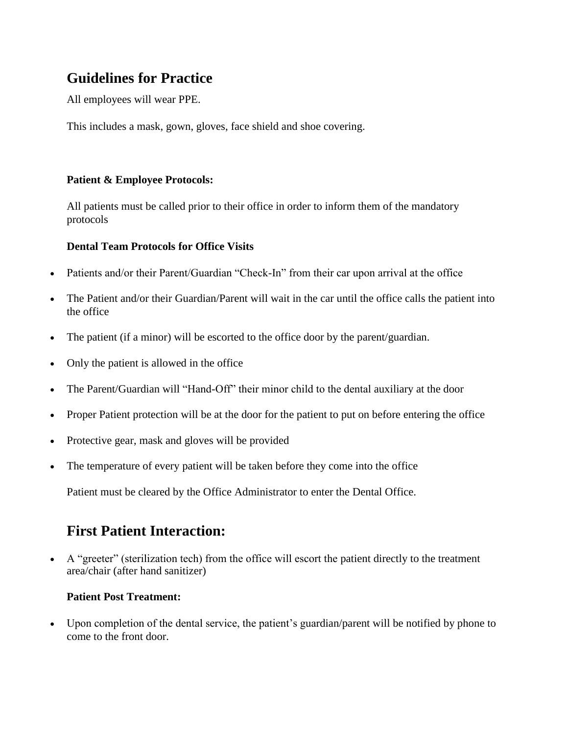# **Guidelines for Practice**

All employees will wear PPE.

This includes a mask, gown, gloves, face shield and shoe covering.

#### **Patient & Employee Protocols:**

All patients must be called prior to their office in order to inform them of the mandatory protocols

#### **Dental Team Protocols for Office Visits**

- Patients and/or their Parent/Guardian "Check-In" from their car upon arrival at the office
- The Patient and/or their Guardian/Parent will wait in the car until the office calls the patient into the office
- The patient (if a minor) will be escorted to the office door by the parent/guardian.
- Only the patient is allowed in the office
- The Parent/Guardian will "Hand-Off" their minor child to the dental auxiliary at the door
- Proper Patient protection will be at the door for the patient to put on before entering the office
- Protective gear, mask and gloves will be provided
- The temperature of every patient will be taken before they come into the office

Patient must be cleared by the Office Administrator to enter the Dental Office.

### **First Patient Interaction:**

 A "greeter" (sterilization tech) from the office will escort the patient directly to the treatment area/chair (after hand sanitizer)

#### **Patient Post Treatment:**

 Upon completion of the dental service, the patient's guardian/parent will be notified by phone to come to the front door.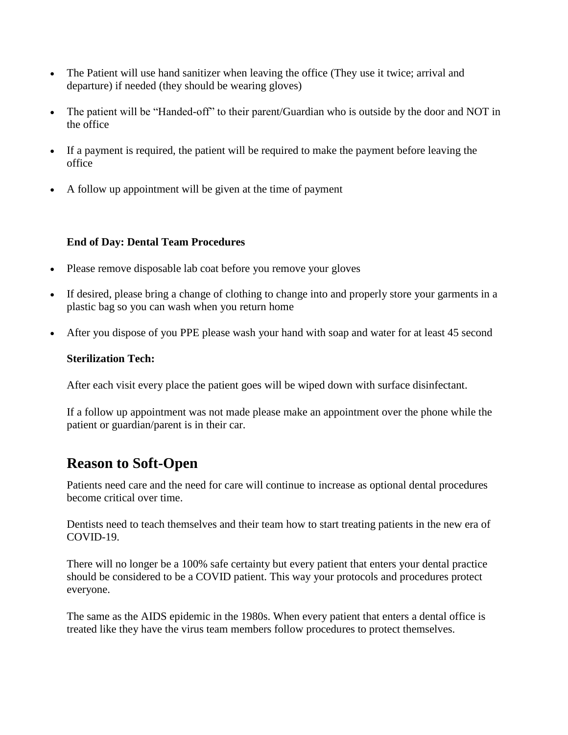- The Patient will use hand sanitizer when leaving the office (They use it twice; arrival and departure) if needed (they should be wearing gloves)
- The patient will be "Handed-off" to their parent/Guardian who is outside by the door and NOT in the office
- If a payment is required, the patient will be required to make the payment before leaving the office
- A follow up appointment will be given at the time of payment

#### **End of Day: Dental Team Procedures**

- Please remove disposable lab coat before you remove your gloves
- If desired, please bring a change of clothing to change into and properly store your garments in a plastic bag so you can wash when you return home
- After you dispose of you PPE please wash your hand with soap and water for at least 45 second

#### **Sterilization Tech:**

After each visit every place the patient goes will be wiped down with surface disinfectant.

If a follow up appointment was not made please make an appointment over the phone while the patient or guardian/parent is in their car.

# **Reason to Soft-Open**

Patients need care and the need for care will continue to increase as optional dental procedures become critical over time.

Dentists need to teach themselves and their team how to start treating patients in the new era of COVID-19.

There will no longer be a 100% safe certainty but every patient that enters your dental practice should be considered to be a COVID patient. This way your protocols and procedures protect everyone.

The same as the AIDS epidemic in the 1980s. When every patient that enters a dental office is treated like they have the virus team members follow procedures to protect themselves.